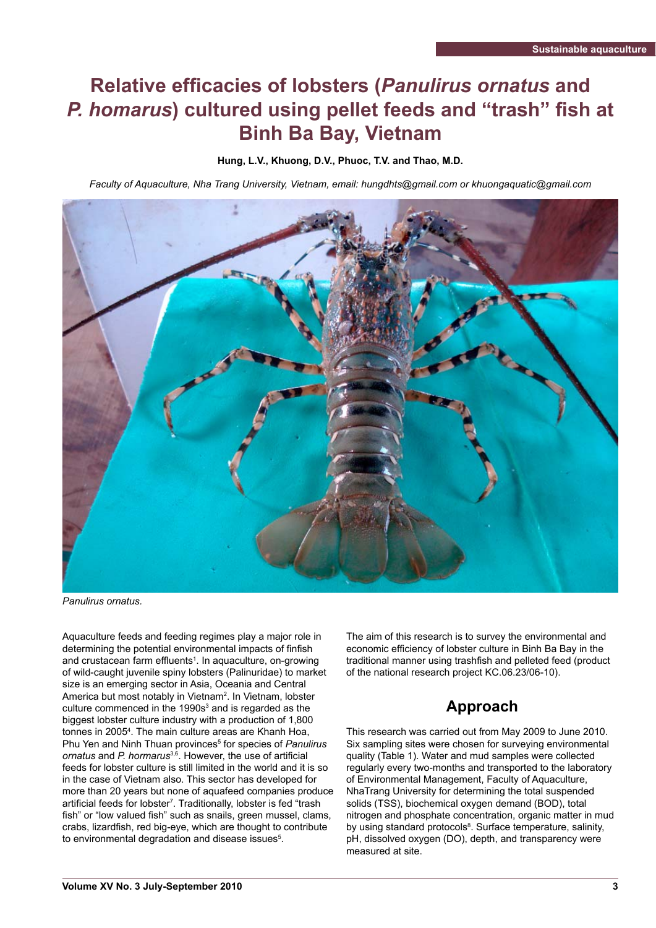# **Relative efficacies of lobsters (***Panulirus ornatus* **and P. homarus) cultured using pellet feeds and "trash" fish at Binh Ba Bay, Vietnam**

**Hung, L.V., Khuong, D.V., Phuoc, T.V. and Thao, M.D.** 

*Faculty of Aquaculture, Nha Trang University, Vietnam, email: hungdhts@gmail.com or khuongaquatic@gmail.com* 



*Panulirus ornatus.*

Aquaculture feeds and feeding regimes play a major role in determining the potential environmental impacts of finfish and crustacean farm effluents<sup>1</sup>. In aquaculture, on-growing of wild-caught juvenile spiny lobsters (Palinuridae) to market size is an emerging sector in Asia, Oceania and Central America but most notably in Vietnam<sup>2</sup>. In Vietnam, lobster culture commenced in the 1990s $3$  and is regarded as the biggest lobster culture industry with a production of 1,800 tonnes in 2005<sup>4</sup>. The main culture areas are Khanh Hoa, Phu Yen and Ninh Thuan provinces<sup>5</sup> for species of *Panulirus ornatus* and *P. hormarus*<sup>3,6</sup>. However, the use of artificial feeds for lobster culture is still limited in the world and it is so in the case of Vietnam also. This sector has developed for more than 20 years but none of aquafeed companies produce artificial feeds for lobster<sup>7</sup>. Traditionally, lobster is fed "trash fish" or "low valued fish" such as snails, green mussel, clams, crabs, lizardfish, red big-eye, which are thought to contribute to environmental degradation and disease issues $5$ .

The aim of this research is to survey the environmental and economic efficiency of lobster culture in Binh Ba Bay in the traditional manner using trashfish and pelleted feed (product of the national research project KC.06.23/06-10).

# **Approach**

This research was carried out from May 2009 to June 2010. Six sampling sites were chosen for surveying environmental quality (Table 1). Water and mud samples were collected regularly every two-months and transported to the laboratory of Environmental Management, Faculty of Aquaculture, NhaTrang University for determining the total suspended solids (TSS), biochemical oxygen demand (BOD), total nitrogen and phosphate concentration, organic matter in mud by using standard protocols<sup>8</sup>. Surface temperature, salinity, pH, dissolved oxygen (DO), depth, and transparency were measured at site.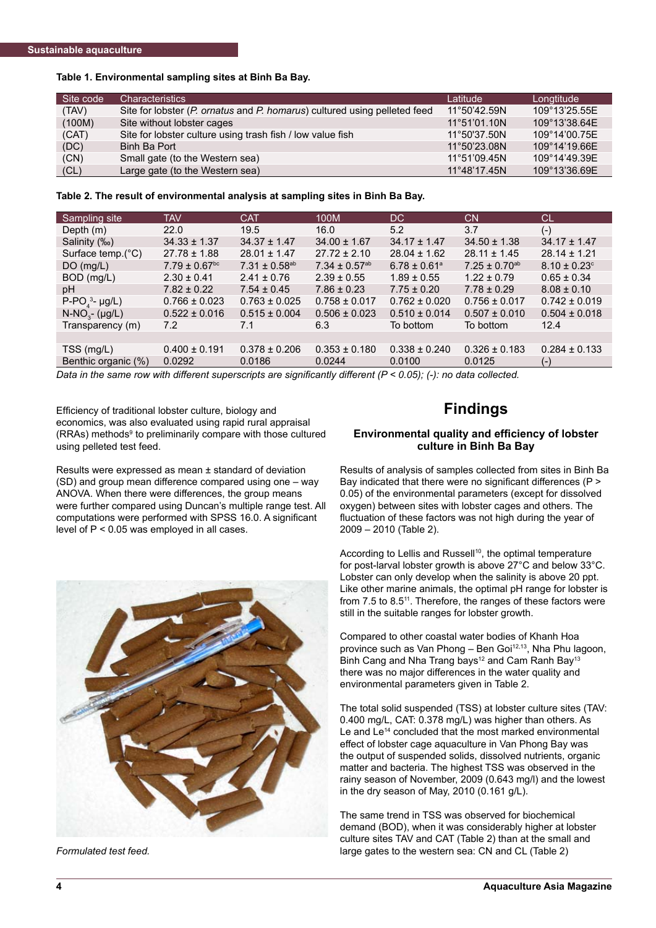### **Table 1. Environmental sampling sites at Binh Ba Bay.**

| Site code | <b>Characteristics</b>                                                    | Latitude     | Longtitude    |
|-----------|---------------------------------------------------------------------------|--------------|---------------|
| (TAV)     | Site for lobster (P. ornatus and P. homarus) cultured using pelleted feed | 11°50'42.59N | 109°13'25.55E |
| (100M)    | Site without lobster cages                                                | 11°51'01.10N | 109°13'38.64E |
| (CAT)     | Site for lobster culture using trash fish / low value fish                | 11°50'37.50N | 109°14'00.75E |
| (DC)      | Binh Ba Port                                                              | 11°50'23.08N | 109°14'19.66E |
| (CN)      | Small gate (to the Western sea)                                           | 11°51'09.45N | 109°14'49.39E |
| CL)       | Large gate (to the Western sea)                                           | 11°48'17.45N | 109°13'36.69E |

**Table 2. The result of environmental analysis at sampling sites in Binh Ba Bay.**

| Sampling site       | <b>TAV</b>                    | <b>CAT</b>           | 100M                          | DC.                          | <b>CN</b>            | СL                |
|---------------------|-------------------------------|----------------------|-------------------------------|------------------------------|----------------------|-------------------|
| Depth $(m)$         | 22.0                          | 19.5                 | 16.0                          | 5.2                          | 3.7                  | $(-)$             |
| Salinity (‰)        | $34.33 \pm 1.37$              | $34.37 \pm 1.47$     | $34.00 \pm 1.67$              | $34.17 \pm 1.47$             | $34.50 \pm 1.38$     | $34.17 \pm 1.47$  |
| Surface temp.(°C)   | $27.78 \pm 1.88$              | $28.01 \pm 1.47$     | $27.72 \pm 2.10$              | $28.04 \pm 1.62$             | $28.11 \pm 1.45$     | $28.14 \pm 1.21$  |
| DO(mg/L)            | $7.79 \pm 0.67$ <sup>bc</sup> | $7.31 \pm 0.58^{ab}$ | $7.34 \pm 0.57$ <sup>ab</sup> | $6.78 \pm 0.61$ <sup>a</sup> | $7.25 \pm 0.70^{ab}$ | $8.10 \pm 0.23$ ° |
| BOD (mg/L)          | $2.30 \pm 0.41$               | $2.41 \pm 0.76$      | $2.39 \pm 0.55$               | $1.89 \pm 0.55$              | $1.22 \pm 0.79$      | $0.65 \pm 0.34$   |
| рH                  | $7.82 \pm 0.22$               | $7.54 \pm 0.45$      | $7.86 \pm 0.23$               | $7.75 \pm 0.20$              | $7.78 \pm 0.29$      | $8.08 \pm 0.10$   |
| $P-POa3- \mu g/L$   | $0.766 \pm 0.023$             | $0.763 \pm 0.025$    | $0.758 \pm 0.017$             | $0.762 \pm 0.020$            | $0.756 \pm 0.017$    | $0.742 \pm 0.019$ |
| $N-NO_{3}$ - (µg/L) | $0.522 \pm 0.016$             | $0.515 \pm 0.004$    | $0.506 \pm 0.023$             | $0.510 \pm 0.014$            | $0.507 \pm 0.010$    | $0.504 \pm 0.018$ |
| Transparency (m)    | 7.2                           | 7.1                  | 6.3                           | To bottom                    | To bottom            | 12.4              |
|                     |                               |                      |                               |                              |                      |                   |
| TSS (mg/L)          | $0.400 \pm 0.191$             | $0.378 \pm 0.206$    | $0.353 \pm 0.180$             | $0.338 \pm 0.240$            | $0.326 \pm 0.183$    | $0.284 \pm 0.133$ |
| Benthic organic (%) | 0.0292                        | 0.0186               | 0.0244                        | 0.0100                       | 0.0125               | ( – )             |

*Data in the same row with different superscripts are significantly different (P < 0.05); (-): no data collected.* 

Efficiency of traditional lobster culture, biology and economics, was also evaluated using rapid rural appraisal (RRAs) methods<sup>9</sup> to preliminarily compare with those cultured using pelleted test feed.

Results were expressed as mean ± standard of deviation (SD) and group mean difference compared using one – way ANOVA. When there were differences, the group means were further compared using Duncan's multiple range test. All computations were performed with SPSS 16.0. A significant level of P < 0.05 was employed in all cases.



*Formulated test feed.*

## **Findings**

#### **Environmental quality and efficiency of lobster culture in Binh Ba Bay**

Results of analysis of samples collected from sites in Binh Ba Bay indicated that there were no significant differences ( $P >$ 0.05) of the environmental parameters (except for dissolved oxygen) between sites with lobster cages and others. The fluctuation of these factors was not high during the year of 2009 – 2010 (Table 2).

According to Lellis and Russell<sup>10</sup>, the optimal temperature for post-larval lobster growth is above 27°C and below 33°C. Lobster can only develop when the salinity is above 20 ppt. Like other marine animals, the optimal pH range for lobster is from 7.5 to 8.5<sup>11</sup>. Therefore, the ranges of these factors were still in the suitable ranges for lobster growth.

Compared to other coastal water bodies of Khanh Hoa province such as Van Phong – Ben Goi $12,13$ , Nha Phu lagoon, Binh Cang and Nha Trang bays<sup>12</sup> and Cam Ranh Bay<sup>13</sup> there was no major differences in the water quality and environmental parameters given in Table 2.

The total solid suspended (TSS) at lobster culture sites (TAV: 0.400 mg/L, CAT: 0.378 mg/L) was higher than others. As Le and Le<sup>14</sup> concluded that the most marked environmental effect of lobster cage aquaculture in Van Phong Bay was the output of suspended solids, dissolved nutrients, organic matter and bacteria. The highest TSS was observed in the rainy season of November, 2009 (0.643 mg/l) and the lowest in the dry season of May, 2010 (0.161 g/L).

The same trend in TSS was observed for biochemical demand (BOD), when it was considerably higher at lobster culture sites TAV and CAT (Table 2) than at the small and large gates to the western sea: CN and CL (Table 2)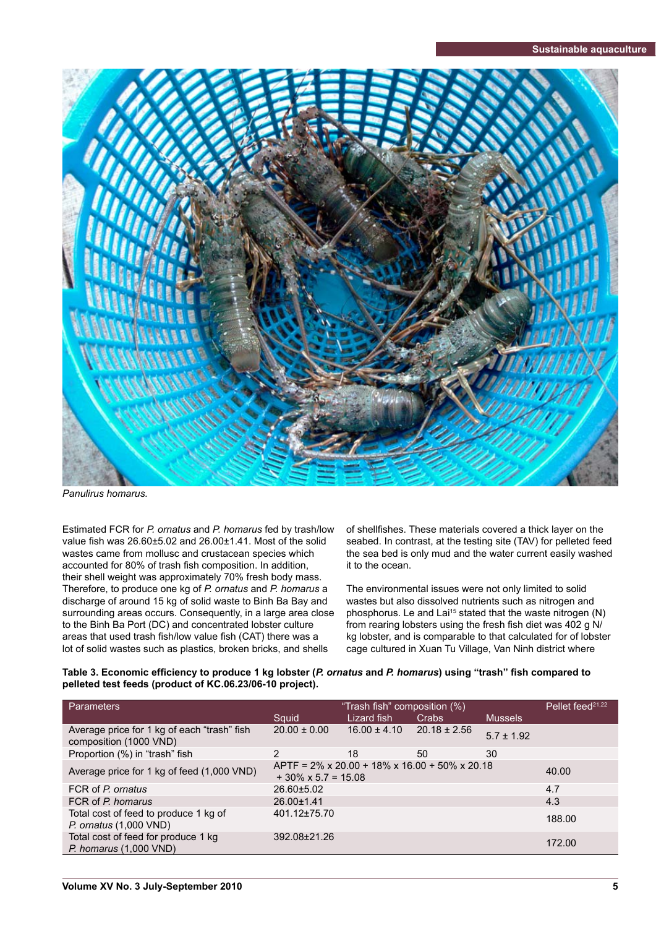

*Panulirus homarus.*

Estimated FCR for *P. ornatus* and *P. homarus* fed by trash/low value fish was  $26.60\pm5.02$  and  $26.00\pm1.41$ . Most of the solid wastes came from mollusc and crustacean species which accounted for 80% of trash fish composition. In addition, their shell weight was approximately 70% fresh body mass. Therefore, to produce one kg of *P. ornatus* and *P. homarus* a discharge of around 15 kg of solid waste to Binh Ba Bay and surrounding areas occurs. Consequently, in a large area close to the Binh Ba Port (DC) and concentrated lobster culture areas that used trash fish/low value fish (CAT) there was a lot of solid wastes such as plastics, broken bricks, and shells

of shellfishes. These materials covered a thick layer on the seabed. In contrast, at the testing site (TAV) for pelleted feed the sea bed is only mud and the water current easily washed it to the ocean.

The environmental issues were not only limited to solid wastes but also dissolved nutrients such as nitrogen and phosphorus. Le and Lai<sup>15</sup> stated that the waste nitrogen (N) from rearing lobsters using the fresh fish diet was 402 g N/ kg lobster, and is comparable to that calculated for of lobster cage cultured in Xuan Tu Village, Van Ninh district where

### Table 3. Economic efficiency to produce 1 kg lobster (*P. ornatus* and *P. homarus*) using "trash" fish compared to **pelleted test feeds (product of KC.06.23/06-10 project).**

| Parameters                                                            | "Trash fish" composition (%)                                                                    |                  |                  |                | Pellet feed <sup>21,22</sup> |
|-----------------------------------------------------------------------|-------------------------------------------------------------------------------------------------|------------------|------------------|----------------|------------------------------|
|                                                                       | Squid                                                                                           | Lizard fish      | <b>Crabs</b>     | <b>Mussels</b> |                              |
| Average price for 1 kg of each "trash" fish<br>composition (1000 VND) | $20.00 \pm 0.00$                                                                                | $16.00 \pm 4.10$ | $20.18 \pm 2.56$ | $5.7 \pm 1.92$ |                              |
| Proportion (%) in "trash" fish                                        | 2                                                                                               | 18               | 50               | 30             |                              |
| Average price for 1 kg of feed (1,000 VND)                            | $APTF = 2\% \times 20.00 + 18\% \times 16.00 + 50\% \times 20.18$<br>$+30\% \times 5.7 = 15.08$ | 40.00            |                  |                |                              |
| FCR of P. ornatus                                                     | $26.60 \pm 5.02$                                                                                |                  |                  |                | 4.7                          |
| FCR of P. homarus                                                     | 26.00±1.41                                                                                      | 4.3              |                  |                |                              |
| Total cost of feed to produce 1 kg of<br>$P.$ ornatus $(1,000$ VND)   | 401.12±75.70                                                                                    | 188.00           |                  |                |                              |
| Total cost of feed for produce 1 kg<br>$P.$ homarus $(1,000$ VND)     | 392.08±21.26                                                                                    |                  |                  |                | 172.00                       |